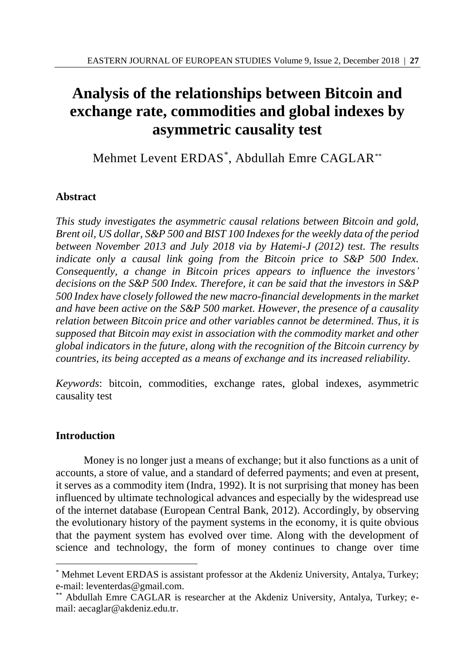# **Analysis of the relationships between Bitcoin and exchange rate, commodities and global indexes by asymmetric causality test**

Mehmet Levent ERDAS\* , Abdullah Emre CAGLAR\*\*

## **Abstract**

*This study investigates the asymmetric causal relations between Bitcoin and gold, Brent oil, US dollar, S&P 500 and BIST 100 Indexes for the weekly data of the period between November 2013 and July 2018 via by Hatemi-J (2012) test. The results indicate only a causal link going from the Bitcoin price to S&P 500 Index. Consequently, a change in Bitcoin prices appears to influence the investors' decisions on the S&P 500 Index. Therefore, it can be said that the investors in S&P 500 Index have closely followed the new macro-financial developments in the market and have been active on the S&P 500 market. However, the presence of a causality relation between Bitcoin price and other variables cannot be determined. Thus, it is supposed that Bitcoin may exist in association with the commodity market and other global indicators in the future, along with the recognition of the Bitcoin currency by countries, its being accepted as a means of exchange and its increased reliability.* 

*Keywords*: bitcoin, commodities, exchange rates, global indexes, asymmetric causality test

## **Introduction**

 $\overline{a}$ 

Money is no longer just a means of exchange; but it also functions as a unit of accounts, a store of value, and a standard of deferred payments; and even at present, it serves as a commodity item (Indra, 1992). It is not surprising that money has been influenced by ultimate technological advances and especially by the widespread use of the internet database (European Central Bank, 2012). Accordingly, by observing the evolutionary history of the payment systems in the economy, it is quite obvious that the payment system has evolved over time. Along with the development of science and technology, the form of money continues to change over time

<sup>\*</sup> Mehmet Levent ERDAS is assistant professor at the Akdeniz University, Antalya, Turkey; e-mail: leventerdas@gmail.com.

<sup>\*\*</sup> Abdullah Emre CAGLAR is researcher at the Akdeniz University, Antalya, Turkey; email: aecaglar@akdeniz.edu.tr.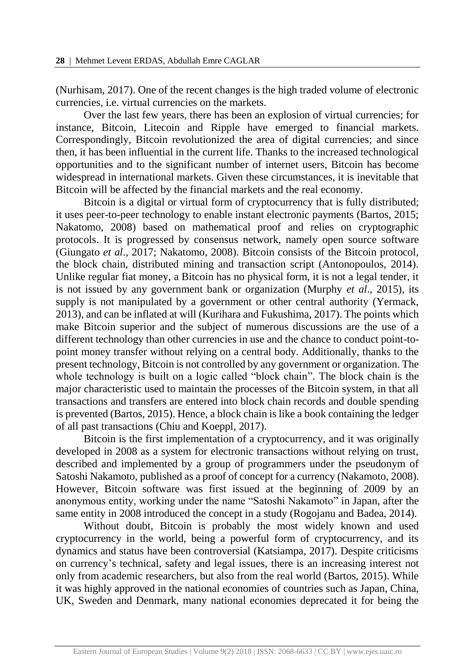(Nurhisam, 2017). One of the recent changes is the high traded volume of electronic currencies, i.e. virtual currencies on the markets.

Over the last few years, there has been an explosion of virtual currencies; for instance, Bitcoin, Litecoin and Ripple have emerged to financial markets. Correspondingly, Bitcoin revolutionized the area of digital currencies; and since then, it has been influential in the current life. Thanks to the increased technological opportunities and to the significant number of internet users, Bitcoin has become widespread in international markets. Given these circumstances, it is inevitable that Bitcoin will be affected by the financial markets and the real economy.

Bitcoin is a digital or virtual form of cryptocurrency that is fully distributed; it uses peer-to-peer technology to enable instant electronic payments (Bartos, 2015; Nakatomo, 2008) based on mathematical proof and relies on cryptographic protocols. It is progressed by consensus network, namely open source software (Giungato *et al*., 2017; Nakatomo, 2008). Bitcoin consists of the Bitcoin protocol, the block chain, distributed mining and transaction script (Antonopoulos, 2014). Unlike regular fiat money, a Bitcoin has no physical form, it is not a legal tender, it is not issued by any government bank or organization (Murphy *et al*., 2015), its supply is not manipulated by a government or other central authority (Yermack, 2013), and can be inflated at will (Kurihara and Fukushima, 2017). The points which make Bitcoin superior and the subject of numerous discussions are the use of a different technology than other currencies in use and the chance to conduct point-topoint money transfer without relying on a central body. Additionally, thanks to the present technology, Bitcoin is not controlled by any government or organization. The whole technology is built on a logic called "block chain". The block chain is the major characteristic used to maintain the processes of the Bitcoin system, in that all transactions and transfers are entered into block chain records and double spending is prevented (Bartos, 2015). Hence, a block chain is like a book containing the ledger of all past transactions (Chiu and Koeppl, 2017).

Bitcoin is the first implementation of a cryptocurrency, and it was originally developed in 2008 as a system for electronic transactions without relying on trust, described and implemented by a group of programmers under the pseudonym of Satoshi Nakamoto, published as a proof of concept for a currency (Nakamoto, 2008). However, Bitcoin software was first issued at the beginning of 2009 by an anonymous entity, working under the name "Satoshi Nakamoto" in Japan, after the same entity in 2008 introduced the concept in a study (Rogojanu and Badea, 2014).

Without doubt, Bitcoin is probably the most widely known and used cryptocurrency in the world, being a powerful form of cryptocurrency, and its dynamics and status have been controversial (Katsiampa, 2017). Despite criticisms on currency's technical, safety and legal issues, there is an increasing interest not only from academic researchers, but also from the real world (Bartos, 2015). While it was highly approved in the national economies of countries such as Japan, China, UK, Sweden and Denmark, many national economies deprecated it for being the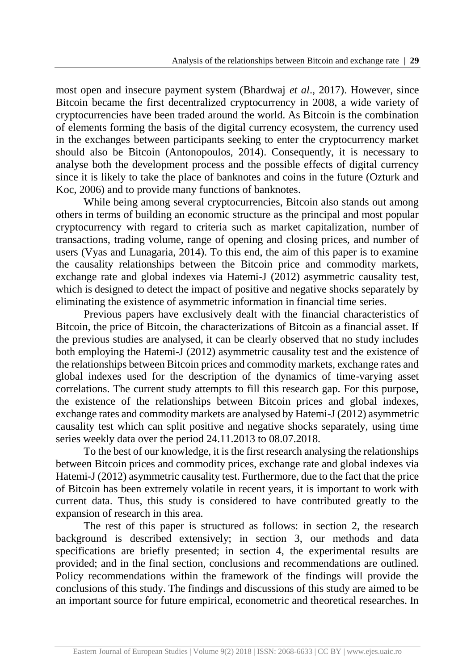most open and insecure payment system (Bhardwaj *et al*., 2017). However, since Bitcoin became the first decentralized cryptocurrency in 2008, a wide variety of cryptocurrencies have been traded around the world. As Bitcoin is the combination of elements forming the basis of the digital currency ecosystem, the currency used in the exchanges between participants seeking to enter the cryptocurrency market should also be Bitcoin (Antonopoulos, 2014). Consequently, it is necessary to analyse both the development process and the possible effects of digital currency since it is likely to take the place of banknotes and coins in the future (Ozturk and Koc, 2006) and to provide many functions of banknotes.

While being among several cryptocurrencies, Bitcoin also stands out among others in terms of building an economic structure as the principal and most popular cryptocurrency with regard to criteria such as market capitalization, number of transactions, trading volume, range of opening and closing prices, and number of users (Vyas and Lunagaria, 2014). To this end, the aim of this paper is to examine the causality relationships between the Bitcoin price and commodity markets, exchange rate and global indexes via Hatemi-J (2012) asymmetric causality test, which is designed to detect the impact of positive and negative shocks separately by eliminating the existence of asymmetric information in financial time series.

Previous papers have exclusively dealt with the financial characteristics of Bitcoin, the price of Bitcoin, the characterizations of Bitcoin as a financial asset. If the previous studies are analysed, it can be clearly observed that no study includes both employing the Hatemi-J (2012) asymmetric causality test and the existence of the relationships between Bitcoin prices and commodity markets, exchange rates and global indexes used for the description of the dynamics of time-varying asset correlations. The current study attempts to fill this research gap. For this purpose, the existence of the relationships between Bitcoin prices and global indexes, exchange rates and commodity markets are analysed by Hatemi-J (2012) asymmetric causality test which can split positive and negative shocks separately, using time series weekly data over the period 24.11.2013 to 08.07.2018.

To the best of our knowledge, it is the first research analysing the relationships between Bitcoin prices and commodity prices, exchange rate and global indexes via Hatemi-J (2012) asymmetric causality test. Furthermore, due to the fact that the price of Bitcoin has been extremely volatile in recent years, it is important to work with current data. Thus, this study is considered to have contributed greatly to the expansion of research in this area.

The rest of this paper is structured as follows: in section 2, the research background is described extensively; in section 3, our methods and data specifications are briefly presented; in section 4, the experimental results are provided; and in the final section, conclusions and recommendations are outlined. Policy recommendations within the framework of the findings will provide the conclusions of this study. The findings and discussions of this study are aimed to be an important source for future empirical, econometric and theoretical researches. In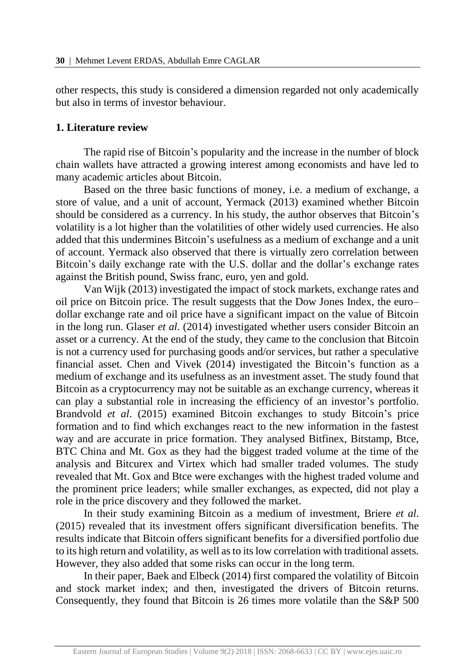other respects, this study is considered a dimension regarded not only academically but also in terms of investor behaviour.

#### **1. Literature review**

The rapid rise of Bitcoin's popularity and the increase in the number of block chain wallets have attracted a growing interest among economists and have led to many academic articles about Bitcoin.

Based on the three basic functions of money, i.e. a medium of exchange, a store of value, and a unit of account, Yermack (2013) examined whether Bitcoin should be considered as a currency. In his study, the author observes that Bitcoin's volatility is a lot higher than the volatilities of other widely used currencies. He also added that this undermines Bitcoin's usefulness as a medium of exchange and a unit of account. Yermack also observed that there is virtually zero correlation between Bitcoin's daily exchange rate with the U.S. dollar and the dollar's exchange rates against the British pound, Swiss franc, euro, yen and gold.

Van Wijk (2013) investigated the impact of stock markets, exchange rates and oil price on Bitcoin price. The result suggests that the Dow Jones Index, the euro– dollar exchange rate and oil price have a significant impact on the value of Bitcoin in the long run. Glaser *et al*. (2014) investigated whether users consider Bitcoin an asset or a currency. At the end of the study, they came to the conclusion that Bitcoin is not a currency used for purchasing goods and/or services, but rather a speculative financial asset. Chen and Vivek (2014) investigated the Bitcoin's function as a medium of exchange and its usefulness as an investment asset. The study found that Bitcoin as a cryptocurrency may not be suitable as an exchange currency, whereas it can play a substantial role in increasing the efficiency of an investor's portfolio. Brandvold *et al*. (2015) examined Bitcoin exchanges to study Bitcoin's price formation and to find which exchanges react to the new information in the fastest way and are accurate in price formation. They analysed Bitfinex, Bitstamp, Btce, BTC China and Mt. Gox as they had the biggest traded volume at the time of the analysis and Bitcurex and Virtex which had smaller traded volumes. The study revealed that Mt. Gox and Btce were exchanges with the highest traded volume and the prominent price leaders; while smaller exchanges, as expected, did not play a role in the price discovery and they followed the market.

In their study examining Bitcoin as a medium of investment, Briere *et al*. (2015) revealed that its investment offers significant diversification benefits. The results indicate that Bitcoin offers significant benefits for a diversified portfolio due to its high return and volatility, as well as to its low correlation with traditional assets. However, they also added that some risks can occur in the long term.

In their paper, Baek and Elbeck (2014) first compared the volatility of Bitcoin and stock market index; and then, investigated the drivers of Bitcoin returns. Consequently, they found that Bitcoin is 26 times more volatile than the S&P 500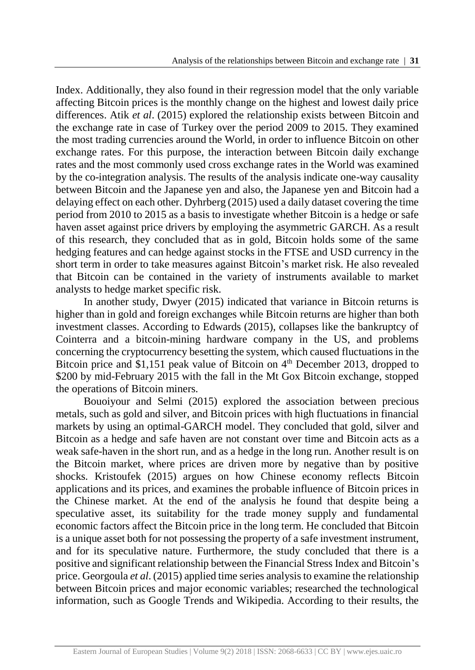Index. Additionally, they also found in their regression model that the only variable affecting Bitcoin prices is the monthly change on the highest and lowest daily price differences. Atik *et al*. (2015) explored the relationship exists between Bitcoin and the exchange rate in case of Turkey over the period 2009 to 2015. They examined the most trading currencies around the World, in order to influence Bitcoin on other exchange rates. For this purpose, the interaction between Bitcoin daily exchange rates and the most commonly used cross exchange rates in the World was examined by the co-integration analysis. The results of the analysis indicate one-way causality between Bitcoin and the Japanese yen and also, the Japanese yen and Bitcoin had a delaying effect on each other. Dyhrberg (2015) used a daily dataset covering the time period from 2010 to 2015 as a basis to investigate whether Bitcoin is a hedge or safe haven asset against price drivers by employing the asymmetric GARCH. As a result of this research, they concluded that as in gold, Bitcoin holds some of the same hedging features and can hedge against stocks in the FTSE and USD currency in the short term in order to take measures against Bitcoin's market risk. He also revealed that Bitcoin can be contained in the variety of instruments available to market analysts to hedge market specific risk.

In another study, Dwyer (2015) indicated that variance in Bitcoin returns is higher than in gold and foreign exchanges while Bitcoin returns are higher than both investment classes. According to Edwards (2015), collapses like the bankruptcy of Cointerra and a bitcoin-mining hardware company in the US, and problems concerning the cryptocurrency besetting the system, which caused fluctuations in the Bitcoin price and \$1,151 peak value of Bitcoin on 4<sup>th</sup> December 2013, dropped to \$200 by mid-February 2015 with the fall in the Mt Gox Bitcoin exchange, stopped the operations of Bitcoin miners.

Bouoiyour and Selmi (2015) explored the association between precious metals, such as gold and silver, and Bitcoin prices with high fluctuations in financial markets by using an optimal-GARCH model. They concluded that gold, silver and Bitcoin as a hedge and safe haven are not constant over time and Bitcoin acts as a weak safe-haven in the short run, and as a hedge in the long run. Another result is on the Bitcoin market, where prices are driven more by negative than by positive shocks. Kristoufek (2015) argues on how Chinese economy reflects Bitcoin applications and its prices, and examines the probable influence of Bitcoin prices in the Chinese market. At the end of the analysis he found that despite being a speculative asset, its suitability for the trade money supply and fundamental economic factors affect the Bitcoin price in the long term. He concluded that Bitcoin is a unique asset both for not possessing the property of a safe investment instrument, and for its speculative nature. Furthermore, the study concluded that there is a positive and significant relationship between the Financial Stress Index and Bitcoin's price. Georgoula *et al*. (2015) applied time series analysis to examine the relationship between Bitcoin prices and major economic variables; researched the technological information, such as Google Trends and Wikipedia. According to their results, the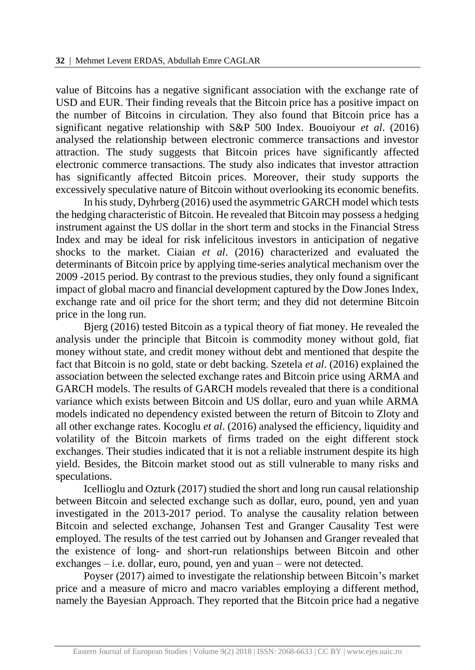value of Bitcoins has a negative significant association with the exchange rate of USD and EUR. Their finding reveals that the Bitcoin price has a positive impact on the number of Bitcoins in circulation. They also found that Bitcoin price has a significant negative relationship with S&P 500 Index. Bouoiyour *et al*. (2016) analysed the relationship between electronic commerce transactions and investor attraction. The study suggests that Bitcoin prices have significantly affected electronic commerce transactions. The study also indicates that investor attraction has significantly affected Bitcoin prices. Moreover, their study supports the excessively speculative nature of Bitcoin without overlooking its economic benefits.

In his study, Dyhrberg (2016) used the asymmetric GARCH model which tests the hedging characteristic of Bitcoin. He revealed that Bitcoin may possess a hedging instrument against the US dollar in the short term and stocks in the Financial Stress Index and may be ideal for risk infelicitous investors in anticipation of negative shocks to the market. Ciaian *et al*. (2016) characterized and evaluated the determinants of Bitcoin price by applying time-series analytical mechanism over the 2009 -2015 period. By contrast to the previous studies, they only found a significant impact of global macro and financial development captured by the Dow Jones Index, exchange rate and oil price for the short term; and they did not determine Bitcoin price in the long run.

Bjerg (2016) tested Bitcoin as a typical theory of fiat money. He revealed the analysis under the principle that Bitcoin is commodity money without gold, fiat money without state, and credit money without debt and mentioned that despite the fact that Bitcoin is no gold, state or debt backing. Szetela *et al*. (2016) explained the association between the selected exchange rates and Bitcoin price using ARMA and GARCH models. The results of GARCH models revealed that there is a conditional variance which exists between Bitcoin and US dollar, euro and yuan while ARMA models indicated no dependency existed between the return of Bitcoin to Zloty and all other exchange rates. Kocoglu *et al*. (2016) analysed the efficiency, liquidity and volatility of the Bitcoin markets of firms traded on the eight different stock exchanges. Their studies indicated that it is not a reliable instrument despite its high yield. Besides, the Bitcoin market stood out as still vulnerable to many risks and speculations.

Icellioglu and Ozturk (2017) studied the short and long run causal relationship between Bitcoin and selected exchange such as dollar, euro, pound, yen and yuan investigated in the 2013-2017 period. To analyse the causality relation between Bitcoin and selected exchange, Johansen Test and Granger Causality Test were employed. The results of the test carried out by Johansen and Granger revealed that the existence of long- and short-run relationships between Bitcoin and other exchanges – i.e. dollar, euro, pound, yen and yuan – were not detected.

Poyser (2017) aimed to investigate the relationship between Bitcoin's market price and a measure of micro and macro variables employing a different method, namely the Bayesian Approach. They reported that the Bitcoin price had a negative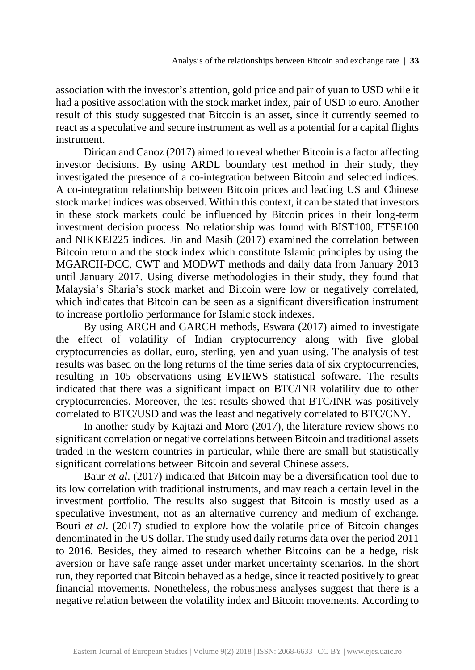association with the investor's attention, gold price and pair of yuan to USD while it had a positive association with the stock market index, pair of USD to euro. Another result of this study suggested that Bitcoin is an asset, since it currently seemed to react as a speculative and secure instrument as well as a potential for a capital flights instrument.

Dirican and Canoz (2017) aimed to reveal whether Bitcoin is a factor affecting investor decisions. By using ARDL boundary test method in their study, they investigated the presence of a co-integration between Bitcoin and selected indices. A co-integration relationship between Bitcoin prices and leading US and Chinese stock market indices was observed. Within this context, it can be stated that investors in these stock markets could be influenced by Bitcoin prices in their long-term investment decision process. No relationship was found with BIST100, FTSE100 and NIKKEI225 indices. Jin and Masih (2017) examined the correlation between Bitcoin return and the stock index which constitute Islamic principles by using the MGARCH-DCC, CWT and MODWT methods and daily data from January 2013 until January 2017. Using diverse methodologies in their study, they found that Malaysia's Sharia's stock market and Bitcoin were low or negatively correlated, which indicates that Bitcoin can be seen as a significant diversification instrument to increase portfolio performance for Islamic stock indexes.

By using ARCH and GARCH methods, Eswara (2017) aimed to investigate the effect of volatility of Indian cryptocurrency along with five global cryptocurrencies as dollar, euro, sterling, yen and yuan using. The analysis of test results was based on the long returns of the time series data of six cryptocurrencies, resulting in 105 observations using EVIEWS statistical software. The results indicated that there was a significant impact on BTC/INR volatility due to other cryptocurrencies. Moreover, the test results showed that BTC/INR was positively correlated to BTC/USD and was the least and negatively correlated to BTC/CNY.

In another study by Kajtazi and Moro (2017), the literature review shows no significant correlation or negative correlations between Bitcoin and traditional assets traded in the western countries in particular, while there are small but statistically significant correlations between Bitcoin and several Chinese assets.

Baur *et al*. (2017) indicated that Bitcoin may be a diversification tool due to its low correlation with traditional instruments, and may reach a certain level in the investment portfolio. The results also suggest that Bitcoin is mostly used as a speculative investment, not as an alternative currency and medium of exchange. Bouri *et al*. (2017) studied to explore how the volatile price of Bitcoin changes denominated in the US dollar. The study used daily returns data over the period 2011 to 2016. Besides, they aimed to research whether Bitcoins can be a hedge, risk aversion or have safe range asset under market uncertainty scenarios. In the short run, they reported that Bitcoin behaved as a hedge, since it reacted positively to great financial movements. Nonetheless, the robustness analyses suggest that there is a negative relation between the volatility index and Bitcoin movements. According to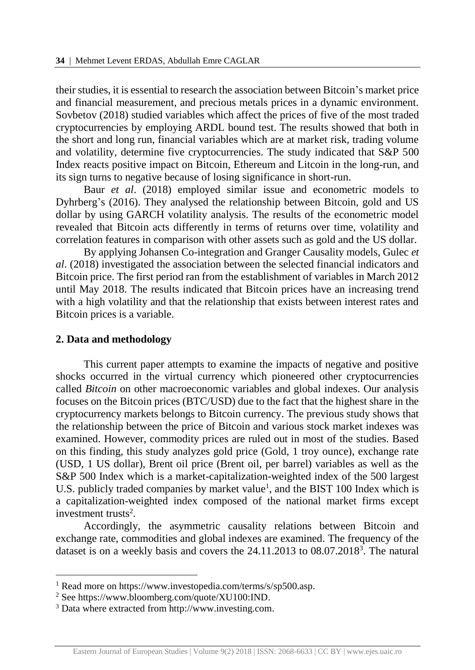their studies, it is essential to research the association between Bitcoin's market price and financial measurement, and precious metals prices in a dynamic environment. Sovbetov (2018) studied variables which affect the prices of five of the most traded cryptocurrencies by employing ARDL bound test. The results showed that both in the short and long run, financial variables which are at market risk, trading volume and volatility, determine five cryptocurrencies. The study indicated that S&P 500 Index reacts positive impact on Bitcoin, Ethereum and Litcoin in the long-run, and its sign turns to negative because of losing significance in short-run.

Baur *et al*. (2018) employed similar issue and econometric models to Dyhrberg's (2016). They analysed the relationship between Bitcoin, gold and US dollar by using GARCH volatility analysis. The results of the econometric model revealed that Bitcoin acts differently in terms of returns over time, volatility and correlation features in comparison with other assets such as gold and the US dollar.

By applying Johansen Co-integration and Granger Causality models, Gulec *et al*. (2018) investigated the association between the selected financial indicators and Bitcoin price. The first period ran from the establishment of variables in March 2012 until May 2018. The results indicated that Bitcoin prices have an increasing trend with a high volatility and that the relationship that exists between interest rates and Bitcoin prices is a variable.

#### **2. Data and methodology**

l

This current paper attempts to examine the impacts of negative and positive shocks occurred in the virtual currency which pioneered other cryptocurrencies called *Bitcoin* on other macroeconomic variables and global indexes. Our analysis focuses on the Bitcoin prices (BTC/USD) due to the fact that the highest share in the cryptocurrency markets belongs to Bitcoin currency. The previous study shows that the relationship between the price of Bitcoin and various stock market indexes was examined. However, commodity prices are ruled out in most of the studies. Based on this finding, this study analyzes gold price (Gold, 1 troy ounce), exchange rate (USD, 1 US dollar), Brent oil price (Brent oil, per barrel) variables as well as the S&P 500 Index which is a market-capitalization-weighted index of the 500 largest U.S. publicly traded companies by market value<sup>1</sup>, and the BIST 100 Index which is a capitalization-weighted index composed of the national market firms except investment trusts<sup>2</sup>.

Accordingly, the asymmetric causality relations between Bitcoin and exchange rate, commodities and global indexes are examined. The frequency of the dataset is on a weekly basis and covers the 24.11.2013 to 08.07.2018<sup>3</sup>. The natural

<sup>&</sup>lt;sup>1</sup> Read more on https://www.investopedia.com/terms/s/sp500.asp.

<sup>2</sup> See https://www.bloomberg.com/quote/XU100:IND.

<sup>3</sup> Data where extracted from http://www.investing.com.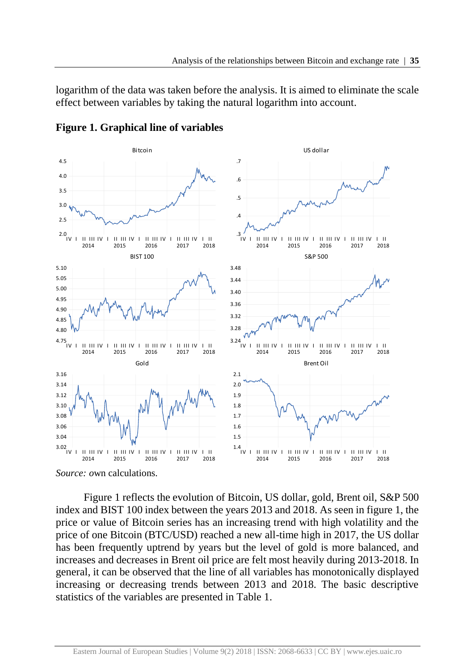logarithm of the data was taken before the analysis. It is aimed to eliminate the scale effect between variables by taking the natural logarithm into account.



**Figure 1. Graphical line of variables**

*Source: o*wn calculations.

Figure 1 reflects the evolution of Bitcoin, US dollar, gold, Brent oil, S&P 500 index and BIST 100 index between the years 2013 and 2018. As seen in figure 1, the price or value of Bitcoin series has an increasing trend with high volatility and the price of one Bitcoin (BTC/USD) reached a new all-time high in 2017, the US dollar has been frequently uptrend by years but the level of gold is more balanced, and increases and decreases in Brent oil price are felt most heavily during 2013-2018. In general, it can be observed that the line of all variables has monotonically displayed increasing or decreasing trends between 2013 and 2018. The basic descriptive statistics of the variables are presented in Table 1.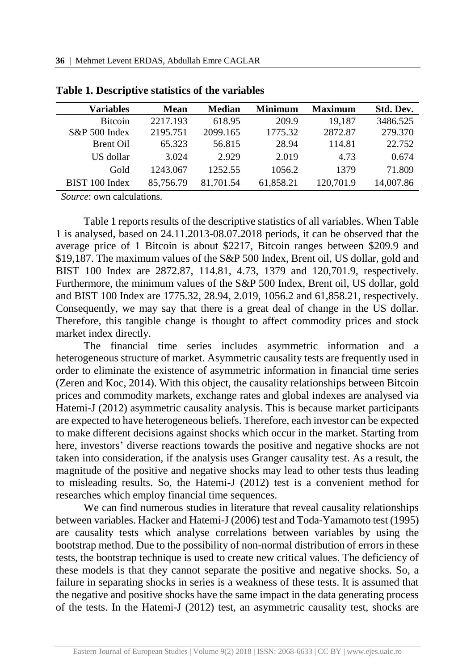| <b>Variables</b> | Mean      | <b>Median</b> | <b>Minimum</b> | <b>Maximum</b> | Std. Dev. |
|------------------|-----------|---------------|----------------|----------------|-----------|
| <b>Bitcoin</b>   | 2217.193  | 618.95        | 209.9          | 19.187         | 3486.525  |
| $S\&P 500$ Index | 2195.751  | 2099.165      | 1775.32        | 2872.87        | 279.370   |
| <b>Brent Oil</b> | 65.323    | 56.815        | 28.94          | 114.81         | 22.752    |
| US dollar        | 3.024     | 2.929         | 2.019          | 4.73           | 0.674     |
| Gold             | 1243.067  | 1252.55       | 1056.2         | 1379           | 71.809    |
| BIST 100 Index   | 85,756.79 | 81,701.54     | 61,858.21      | 120,701.9      | 14,007.86 |

| Table 1. Descriptive statistics of the variables |  |  |  |
|--------------------------------------------------|--|--|--|
|--------------------------------------------------|--|--|--|

*Source*: own calculations*.*

Table 1 reports results of the descriptive statistics of all variables. When Table 1 is analysed, based on 24.11.2013-08.07.2018 periods, it can be observed that the average price of 1 Bitcoin is about \$2217, Bitcoin ranges between \$209.9 and \$19,187. The maximum values of the S&P 500 Index, Brent oil, US dollar, gold and BIST 100 Index are 2872.87, 114.81, 4.73, 1379 and 120,701.9, respectively. Furthermore, the minimum values of the S&P 500 Index, Brent oil, US dollar, gold and BIST 100 Index are 1775.32, 28.94, 2.019, 1056.2 and 61,858.21, respectively. Consequently, we may say that there is a great deal of change in the US dollar. Therefore, this tangible change is thought to affect commodity prices and stock market index directly.

The financial time series includes asymmetric information and a heterogeneous structure of market. Asymmetric causality tests are frequently used in order to eliminate the existence of asymmetric information in financial time series (Zeren and Koc, 2014). With this object, the causality relationships between Bitcoin prices and commodity markets, exchange rates and global indexes are analysed via Hatemi-J (2012) asymmetric causality analysis. This is because market participants are expected to have heterogeneous beliefs. Therefore, each investor can be expected to make different decisions against shocks which occur in the market. Starting from here, investors' diverse reactions towards the positive and negative shocks are not taken into consideration, if the analysis uses Granger causality test. As a result, the magnitude of the positive and negative shocks may lead to other tests thus leading to misleading results. So, the Hatemi-J (2012) test is a convenient method for researches which employ financial time sequences.

We can find numerous studies in literature that reveal causality relationships between variables. Hacker and Hatemi-J (2006) test and Toda-Yamamoto test (1995) are causality tests which analyse correlations between variables by using the bootstrap method. Due to the possibility of non-normal distribution of errors in these tests, the bootstrap technique is used to create new critical values. The deficiency of these models is that they cannot separate the positive and negative shocks. So, a failure in separating shocks in series is a weakness of these tests. It is assumed that the negative and positive shocks have the same impact in the data generating process of the tests. In the Hatemi-J (2012) test, an asymmetric causality test, shocks are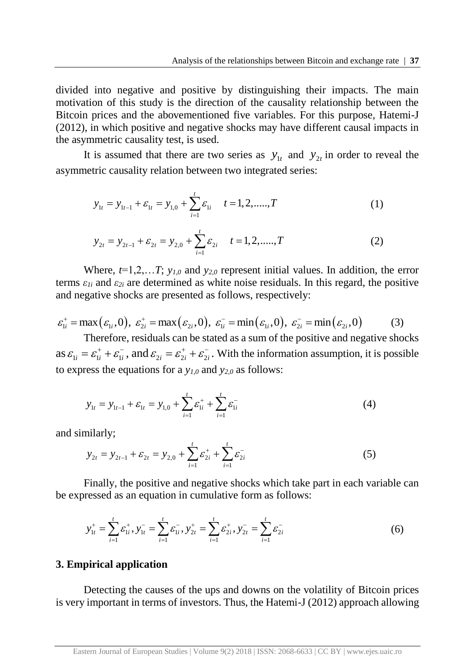divided into negative and positive by distinguishing their impacts. The main motivation of this study is the direction of the causality relationship between the Bitcoin prices and the abovementioned five variables. For this purpose, Hatemi-J (2012), in which positive and negative shocks may have different causal impacts in the asymmetric causality test, is used.

It is assumed that there are two series as  $y_{1t}$  and  $y_{2t}$  in order to reveal the asymmetric causality relation between two integrated series:

$$
y_{1t} = y_{1t-1} + \varepsilon_{1t} = y_{1,0} + \sum_{i=1}^{t} \varepsilon_{1i} \quad t = 1, 2, \dots, T
$$
 (1)

$$
y_{2t} = y_{2t-1} + \varepsilon_{2t} = y_{2,0} + \sum_{i=1}^{t} \varepsilon_{2i} \qquad t = 1, 2, \dots, T
$$
 (2)

Where,  $t=1,2,...T$ ;  $y_{1,0}$  and  $y_{2,0}$  represent initial values. In addition, the error terms  $\varepsilon_{1i}$  and  $\varepsilon_{2i}$  are determined as white noise residuals. In this regard, the positive and negative shocks are presented as follows, respectively:

$$
\varepsilon_{1i}^+ = \max(\varepsilon_{1i}, 0), \ \varepsilon_{2i}^+ = \max(\varepsilon_{2i}, 0), \ \varepsilon_{1i}^- = \min(\varepsilon_{1i}, 0), \ \varepsilon_{2i}^- = \min(\varepsilon_{2i}, 0)
$$
 (3)

Therefore, residuals can be stated as a sum of the positive and negative shocks as  $\varepsilon_{1i} = \varepsilon_{1i}^+ + \varepsilon_{1i}^-$ , and  $\varepsilon_{2i} = \varepsilon_{2i}^+ + \varepsilon_{2i}^-$ . With the information assumption, it is possible to express the equations for a  $y_{10}$  and  $y_{20}$  as follows:

$$
y_{1t} = y_{1t-1} + \varepsilon_{1t} = y_{1,0} + \sum_{i=1}^{t} \varepsilon_{1i}^{+} + \sum_{i=1}^{t} \varepsilon_{1i}^{-} \tag{4}
$$

and similarly;

$$
y_{2t} = y_{2t-1} + \varepsilon_{2t} = y_{2,0} + \sum_{i=1}^{t} \varepsilon_{2i}^{+} + \sum_{i=1}^{t} \varepsilon_{2i}^{-} \tag{5}
$$

Finally, the positive and negative shocks which take part in each variable can be expressed as an equation in cumulative form as follows:

$$
y_{1t}^{+} = \sum_{i=1}^{t} \varepsilon_{1i}^{+}, y_{1t}^{-} = \sum_{i=1}^{t} \varepsilon_{1i}^{-}, y_{2t}^{+} = \sum_{i=1}^{t} \varepsilon_{2i}^{+}, y_{2t}^{-} = \sum_{i=1}^{t} \varepsilon_{2i}^{-} \tag{6}
$$

### **3. Empirical application**

Detecting the causes of the ups and downs on the volatility of Bitcoin prices is very important in terms of investors. Thus, the Hatemi-J (2012) approach allowing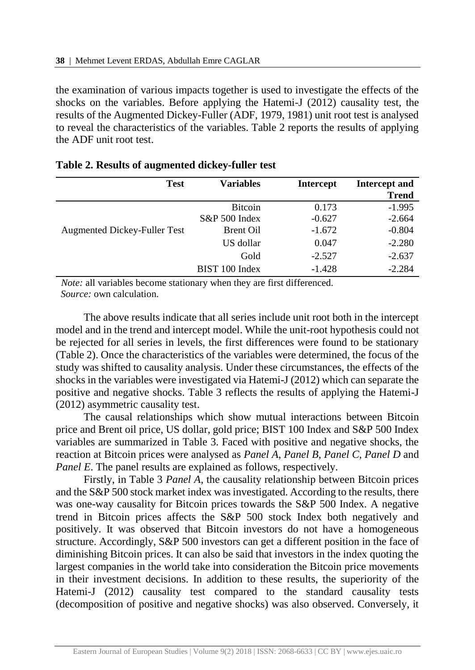the examination of various impacts together is used to investigate the effects of the shocks on the variables. Before applying the Hatemi-J (2012) causality test, the results of the Augmented Dickey-Fuller (ADF, 1979, 1981) unit root test is analysed to reveal the characteristics of the variables. Table 2 reports the results of applying the ADF unit root test.

| <b>Test</b>                         | <b>Variables</b> | <b>Intercept</b> | Intercept and |
|-------------------------------------|------------------|------------------|---------------|
|                                     |                  |                  | <b>Trend</b>  |
|                                     | <b>Bitcoin</b>   | 0.173            | $-1.995$      |
|                                     | S&P 500 Index    | $-0.627$         | $-2.664$      |
| <b>Augmented Dickey-Fuller Test</b> | Brent Oil        | $-1.672$         | $-0.804$      |
|                                     | US dollar        | 0.047            | $-2.280$      |
|                                     | Gold             | $-2.527$         | $-2.637$      |
|                                     | BIST 100 Index   | $-1.428$         | $-2.284$      |

|  |  | Table 2. Results of augmented dickey-fuller test |  |  |
|--|--|--------------------------------------------------|--|--|
|--|--|--------------------------------------------------|--|--|

*Note:* all variables become stationary when they are first differenced*. Source:* own calculation.

The above results indicate that all series include unit root both in the intercept model and in the trend and intercept model. While the unit-root hypothesis could not be rejected for all series in levels, the first differences were found to be stationary (Table 2). Once the characteristics of the variables were determined, the focus of the study was shifted to causality analysis. Under these circumstances, the effects of the shocks in the variables were investigated via Hatemi-J (2012) which can separate the positive and negative shocks. Table 3 reflects the results of applying the Hatemi-J (2012) asymmetric causality test.

The causal relationships which show mutual interactions between Bitcoin price and Brent oil price, US dollar, gold price; BIST 100 Index and S&P 500 Index variables are summarized in Table 3. Faced with positive and negative shocks, the reaction at Bitcoin prices were analysed as *Panel A*, *Panel B*, *Panel C, Panel D* and *Panel E*. The panel results are explained as follows, respectively.

Firstly, in Table 3 *Panel A,* the causality relationship between Bitcoin prices and the S&P 500 stock market index was investigated. According to the results, there was one-way causality for Bitcoin prices towards the S&P 500 Index. A negative trend in Bitcoin prices affects the S&P 500 stock Index both negatively and positively. It was observed that Bitcoin investors do not have a homogeneous structure. Accordingly, S&P 500 investors can get a different position in the face of diminishing Bitcoin prices. It can also be said that investors in the index quoting the largest companies in the world take into consideration the Bitcoin price movements in their investment decisions. In addition to these results, the superiority of the Hatemi-J (2012) causality test compared to the standard causality tests (decomposition of positive and negative shocks) was also observed. Conversely, it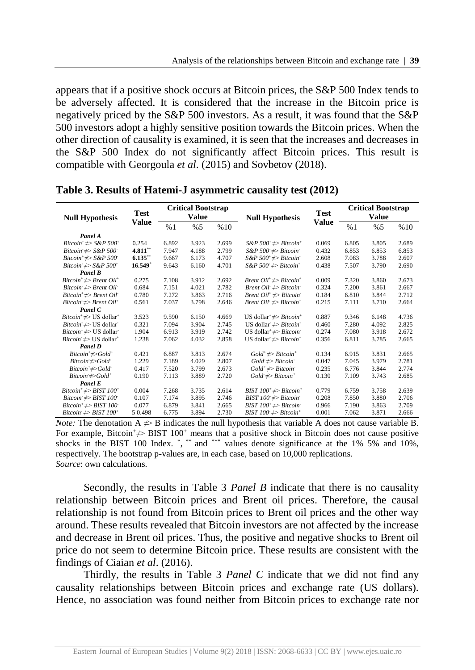appears that if a positive shock occurs at Bitcoin prices, the S&P 500 Index tends to be adversely affected. It is considered that the increase in the Bitcoin price is negatively priced by the S&P 500 investors. As a result, it was found that the S&P 500 investors adopt a highly sensitive position towards the Bitcoin prices. When the other direction of causality is examined, it is seen that the increases and decreases in the S&P 500 Index do not significantly affect Bitcoin prices. This result is compatible with Georgoula *et al*. (2015) and Sovbetov (2018).

| <b>Null Hypothesis</b>                                             | <b>Test</b>  | <b>Critical Bootstrap</b><br><b>Value</b> |       |       | <b>Null Hypothesis</b>                                      | <b>Test</b>  | <b>Critical Bootstrap</b><br>Value |       |       |
|--------------------------------------------------------------------|--------------|-------------------------------------------|-------|-------|-------------------------------------------------------------|--------------|------------------------------------|-------|-------|
|                                                                    | <b>Value</b> | %1                                        | %5    | %10   |                                                             | <b>Value</b> | %1                                 | %5    | %10   |
| Panel A                                                            |              |                                           |       |       |                                                             |              |                                    |       |       |
| Bitcoin <sup>+</sup> $\neq$ > S&P 500 <sup>+</sup>                 | 0.254        | 6.892                                     | 3.923 | 2.699 | $S\&P 500^+ \neq Bitcoin^+$                                 | 0.069        | 6.805                              | 3.805 | 2.689 |
| Bitcoin $\Rightarrow$ S&P 500                                      | 4.811        | 7.947                                     | 4.188 | 2.799 | $S\&P 500 \neq Bitcoin$                                     | 0.432        | 6.853                              | 6.853 | 6.853 |
| Bitcoin <sup>+</sup> $\neq$ > S&P 500 <sup>-</sup>                 | 6.135        | 9.667                                     | 6.173 | 4.707 | $S\&P 500^+\neq Bitcoin$                                    | 2.608        | 7.083                              | 3.788 | 2.607 |
| Bitcoin $\neq$ S&P 500 <sup>+</sup>                                | $16.549*$    | 9.643                                     | 6.160 | 4.701 | $S\&P 500 \neq Bitcoin^+$                                   | 0.438        | 7.507                              | 3.790 | 2.690 |
| Panel B                                                            |              |                                           |       |       |                                                             |              |                                    |       |       |
| Bitcoin <sup>+</sup> $\neq$ > Brent Oil <sup>+</sup>               | 0.275        | 7.108                                     | 3.912 | 2.692 | Brent $Oil^+\neq Bitcoin^+$                                 | 0.009        | 7.320                              | 3.860 | 2.673 |
| $Bitcoin \neq Brent$ <i>Oil</i>                                    | 0.684        | 7.151                                     | 4.021 | 2.782 | <i>Brent Oil</i> $\Rightarrow$ <i>Bitcoin</i>               | 0.324        | 7.200                              | 3.861 | 2.667 |
| $Bitcoin^+ \nightharpoonup Brent$ Oil                              | 0.780        | 7.272                                     | 3.863 | 2.716 | Brent $Oil^+ \neq Bitcoin$                                  | 0.184        | 6.810                              | 3.844 | 2.712 |
| Bitcoin $\neq$ Brent Oil <sup>+</sup>                              | 0.561        | 7.037                                     | 3.798 | 2.646 | Brent $Oil \neq Bitcoin^+$                                  | 0.215        | 7.111                              | 3.710 | 2.664 |
| Panel C                                                            |              |                                           |       |       |                                                             |              |                                    |       |       |
| <i>Bitcoin</i> <sup><math>\neq</math></sup> US dollar <sup>+</sup> | 3.523        | 9.590                                     | 6.150 | 4.669 | US dollar <sup>+</sup> $\neq$ > <i>Bitcoin</i> <sup>+</sup> | 0.887        | 9.346                              | 6.148 | 4.736 |
| <i>Bitcoin</i> $\neq$ US dollar                                    | 0.321        | 7.094                                     | 3.904 | 2.745 | US dollar $\neq$ <i>Bitcoin</i>                             | 0.460        | 7.280                              | 4.092 | 2.825 |
| <i>Bitcoin</i> <sup><math>\neq</math></sup> US dollar              | 1.904        | 6.913                                     | 3.919 | 2.742 | US dollar <sup>+</sup> $\neq$ > <i>Bitcoin</i>              | 0.274        | 7.080                              | 3.918 | 2.672 |
| <i>Bitcoin</i> $\neq$ US dollar <sup>+</sup>                       | 1.238        | 7.062                                     | 4.032 | 2.858 | US dollar $\neq$ <i>Bitcoin</i> <sup>+</sup>                | 0.356        | 6.811                              | 3.785 | 2.665 |
| Panel D                                                            |              |                                           |       |       |                                                             |              |                                    |       |       |
| $Bitcoin^+\neq Gold^+$                                             | 0.421        | 6.887                                     | 3.813 | 2.674 | $Gold^*\neq>Bitcoin^*$                                      | 0.134        | 6.915                              | 3.831 | 2.665 |
| $Bitcoin \neq$ Sold                                                | 1.229        | 7.189                                     | 4.029 | 2.807 | $Gold \neq Bitcoin$                                         | 0.047        | 7.045                              | 3.979 | 2.781 |
| $Bitcoin^* \neq \neg Gold$                                         | 0.417        | 7.520                                     | 3.799 | 2.673 | $Gold^*\neq\!\!Biteoin^*$                                   | 0.235        | 6.776                              | 3.844 | 2.774 |
| $Bitcoin \neq$ Sold <sup>+</sup>                                   | 0.190        | 7.113                                     | 3.889 | 2.720 | $Gold \neq Biteoin^+$                                       | 0.130        | 7.109                              | 3.743 | 2.685 |
| Panel E                                                            |              |                                           |       |       |                                                             |              |                                    |       |       |
| Bitcoin <sup>+</sup> $\neq$ >BIST 100 <sup>+</sup>                 | 0.004        | 7.268                                     | 3.735 | 2.614 | BIST $100^+ \rightleftharpoons Bitcoin^+$                   | 0.779        | 6.759                              | 3.758 | 2.639 |
| Bitcoin $\neq$ BIST 100                                            | 0.107        | 7.174                                     | 3.895 | 2.746 | BIST $100 \neq Bitcoin$                                     | 0.208        | 7.850                              | 3.880 | 2.706 |
| Bitcoin <sup>+</sup> $\neq$ > BIST 100 <sup>+</sup>                | 0.077        | 6.879                                     | 3.841 | 2.665 | BIST $100^+ \rightleftharpoons Bitcoin$                     | 0.966        | 7.190                              | 3.863 | 2.709 |
| Bitcoin $\Rightarrow$ BIST 100 <sup>+</sup>                        | 50.498       | 6.775                                     | 3.894 | 2.730 | BIST $100 \neq Bitcoin$                                     | 0.001        | 7.062                              | 3.871 | 2.666 |

**Table 3. Results of Hatemi-J asymmetric causality test (2012)**

*Note:* The denotation  $A \neq B$  indicates the null hypothesis that variable A does not cause variable B. For example, Bitcoin  $\neq$  BIST 100<sup>+</sup> means that a positive shock in Bitcoin does not cause positive shocks in the BIST 100 Index.  $\alpha$ ,  $\alpha$  and  $\alpha$  and  $\alpha$  and  $\alpha$  and  $\alpha$  and  $\alpha$  and  $\alpha$  and  $10\%$ , respectively. The bootstrap p-values are, in each case, based on 10,000 replications. *Source*: own calculations.

Secondly, the results in Table 3 *Panel B* indicate that there is no causality relationship between Bitcoin prices and Brent oil prices. Therefore, the causal relationship is not found from Bitcoin prices to Brent oil prices and the other way around. These results revealed that Bitcoin investors are not affected by the increase and decrease in Brent oil prices. Thus, the positive and negative shocks to Brent oil price do not seem to determine Bitcoin price. These results are consistent with the findings of Ciaian *et al*. (2016).

Thirdly, the results in Table 3 *Panel C* indicate that we did not find any causality relationships between Bitcoin prices and exchange rate (US dollars). Hence, no association was found neither from Bitcoin prices to exchange rate nor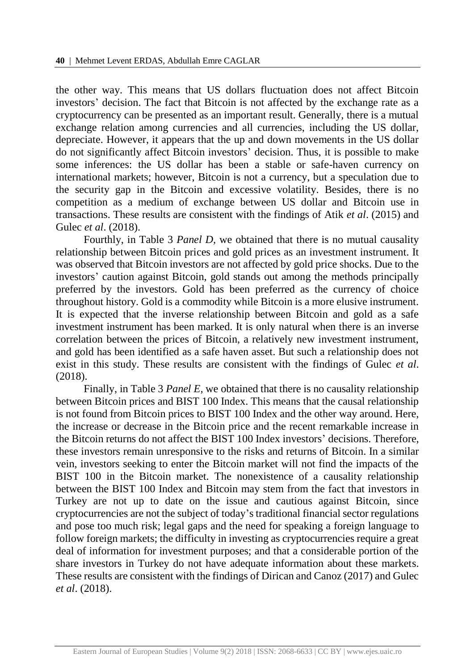the other way. This means that US dollars fluctuation does not affect Bitcoin investors' decision. The fact that Bitcoin is not affected by the exchange rate as a cryptocurrency can be presented as an important result. Generally, there is a mutual exchange relation among currencies and all currencies, including the US dollar, depreciate. However, it appears that the up and down movements in the US dollar do not significantly affect Bitcoin investors' decision. Thus, it is possible to make some inferences: the US dollar has been a stable or safe-haven currency on international markets; however, Bitcoin is not a currency, but a speculation due to the security gap in the Bitcoin and excessive volatility. Besides, there is no competition as a medium of exchange between US dollar and Bitcoin use in transactions. These results are consistent with the findings of Atik *et al*. (2015) and Gulec *et al*. (2018).

Fourthly, in Table 3 *Panel D,* we obtained that there is no mutual causality relationship between Bitcoin prices and gold prices as an investment instrument. It was observed that Bitcoin investors are not affected by gold price shocks. Due to the investors' caution against Bitcoin, gold stands out among the methods principally preferred by the investors. Gold has been preferred as the currency of choice throughout history. Gold is a commodity while Bitcoin is a more elusive instrument. It is expected that the inverse relationship between Bitcoin and gold as a safe investment instrument has been marked. It is only natural when there is an inverse correlation between the prices of Bitcoin, a relatively new investment instrument, and gold has been identified as a safe haven asset. But such a relationship does not exist in this study. These results are consistent with the findings of Gulec *et al*. (2018).

Finally, in Table 3 *Panel E,* we obtained that there is no causality relationship between Bitcoin prices and BIST 100 Index. This means that the causal relationship is not found from Bitcoin prices to BIST 100 Index and the other way around. Here, the increase or decrease in the Bitcoin price and the recent remarkable increase in the Bitcoin returns do not affect the BIST 100 Index investors' decisions. Therefore, these investors remain unresponsive to the risks and returns of Bitcoin. In a similar vein, investors seeking to enter the Bitcoin market will not find the impacts of the BIST 100 in the Bitcoin market. The nonexistence of a causality relationship between the BIST 100 Index and Bitcoin may stem from the fact that investors in Turkey are not up to date on the issue and cautious against Bitcoin, since cryptocurrencies are not the subject of today's traditional financial sector regulations and pose too much risk; legal gaps and the need for speaking a foreign language to follow foreign markets; the difficulty in investing as cryptocurrencies require a great deal of information for investment purposes; and that a considerable portion of the share investors in Turkey do not have adequate information about these markets. These results are consistent with the findings of Dirican and Canoz (2017) and Gulec *et al*. (2018).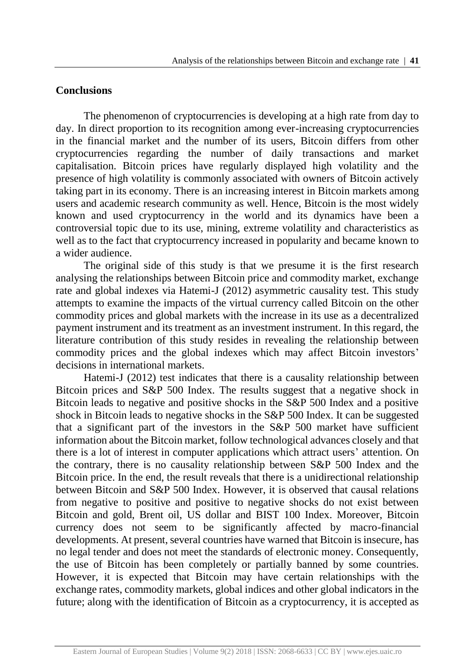## **Conclusions**

The phenomenon of cryptocurrencies is developing at a high rate from day to day. In direct proportion to its recognition among ever-increasing cryptocurrencies in the financial market and the number of its users, Bitcoin differs from other cryptocurrencies regarding the number of daily transactions and market capitalisation. Bitcoin prices have regularly displayed high volatility and the presence of high volatility is commonly associated with owners of Bitcoin actively taking part in its economy. There is an increasing interest in Bitcoin markets among users and academic research community as well. Hence, Bitcoin is the most widely known and used cryptocurrency in the world and its dynamics have been a controversial topic due to its use, mining, extreme volatility and characteristics as well as to the fact that cryptocurrency increased in popularity and became known to a wider audience.

The original side of this study is that we presume it is the first research analysing the relationships between Bitcoin price and commodity market, exchange rate and global indexes via Hatemi-J (2012) asymmetric causality test. This study attempts to examine the impacts of the virtual currency called Bitcoin on the other commodity prices and global markets with the increase in its use as a decentralized payment instrument and its treatment as an investment instrument. In this regard, the literature contribution of this study resides in revealing the relationship between commodity prices and the global indexes which may affect Bitcoin investors' decisions in international markets.

Hatemi-J (2012) test indicates that there is a causality relationship between Bitcoin prices and S&P 500 Index. The results suggest that a negative shock in Bitcoin leads to negative and positive shocks in the S&P 500 Index and a positive shock in Bitcoin leads to negative shocks in the S&P 500 Index. It can be suggested that a significant part of the investors in the S&P 500 market have sufficient information about the Bitcoin market, follow technological advances closely and that there is a lot of interest in computer applications which attract users' attention. On the contrary, there is no causality relationship between S&P 500 Index and the Bitcoin price. In the end, the result reveals that there is a unidirectional relationship between Bitcoin and S&P 500 Index. However, it is observed that causal relations from negative to positive and positive to negative shocks do not exist between Bitcoin and gold, Brent oil, US dollar and BIST 100 Index. Moreover, Bitcoin currency does not seem to be significantly affected by macro-financial developments. At present, several countries have warned that Bitcoin is insecure, has no legal tender and does not meet the standards of electronic money. Consequently, the use of Bitcoin has been completely or partially banned by some countries. However, it is expected that Bitcoin may have certain relationships with the exchange rates, commodity markets, global indices and other global indicators in the future; along with the identification of Bitcoin as a cryptocurrency, it is accepted as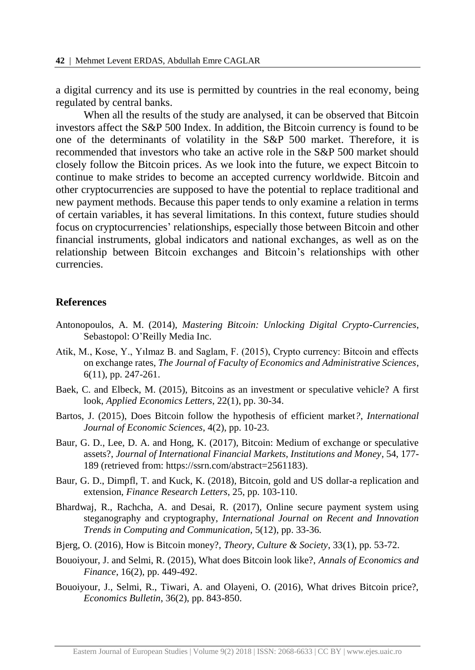a digital currency and its use is permitted by countries in the real economy, being regulated by central banks.

When all the results of the study are analysed, it can be observed that Bitcoin investors affect the S&P 500 Index. In addition, the Bitcoin currency is found to be one of the determinants of volatility in the S&P 500 market. Therefore, it is recommended that investors who take an active role in the S&P 500 market should closely follow the Bitcoin prices. As we look into the future, we expect Bitcoin to continue to make strides to become an accepted currency worldwide. Bitcoin and other cryptocurrencies are supposed to have the potential to replace traditional and new payment methods. Because this paper tends to only examine a relation in terms of certain variables, it has several limitations. In this context, future studies should focus on cryptocurrencies' relationships, especially those between Bitcoin and other financial instruments, global indicators and national exchanges, as well as on the relationship between Bitcoin exchanges and Bitcoin's relationships with other currencies.

#### **References**

- Antonopoulos, A. M. (2014), *Mastering Bitcoin: Unlocking Digital Crypto-Currencies*, Sebastopol: O'Reilly Media Inc.
- Atik, M., Kose, Y., Yılmaz B. and Saglam, F. (2015), Crypto currency: Bitcoin and effects on exchange rates, *The Journal of Faculty of Economics and Administrative Sciences*, 6(11), pp. 247-261.
- Baek, C. and Elbeck, M. (2015), Bitcoins as an investment or speculative vehicle? A first look, *Applied Economics Letters*, 22(1), pp. 30-34.
- Bartos, J. (2015), Does Bitcoin follow the hypothesis of efficient market*?*, *International Journal of Economic Sciences*, 4(2), pp. 10-23.
- Baur, G. D., Lee, D. A. and Hong, K. (2017), Bitcoin: Medium of exchange or speculative assets?, *Journal of International Financial Markets, Institutions and Money*, 54, 177- 189 (retrieved from: https://ssrn.com/abstract=2561183).
- Baur, G. D., Dimpfl, T. and Kuck, K. (2018), Bitcoin, gold and US dollar-a replication and extension, *Finance Research Letters*, 25, pp. 103-110.
- Bhardwaj, R., Rachcha, A. and Desai, R. (2017), Online secure payment system using steganography and cryptography, *International Journal on Recent and Innovation Trends in Computing and Communication*, 5(12), pp. 33-36.
- Bjerg, O. (2016), How is Bitcoin money?, *Theory, Culture & Society*, 33(1), pp. 53-72.
- Bouoiyour, J. and Selmi, R. (2015), What does Bitcoin look like?, *Annals of Economics and Finance*, 16(2), pp. 449-492.
- Bouoiyour, J., Selmi, R., Tiwari, A. and Olayeni, O. (2016), What drives Bitcoin price?, *Economics Bulletin*, 36(2), pp. 843-850.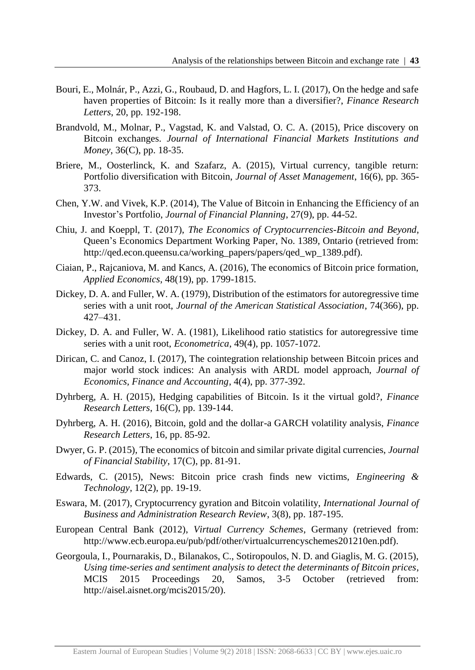- Bouri, E., Molnár, P., Azzi, G., Roubaud, D. and Hagfors, L. I. (2017), On the hedge and safe haven properties of Bitcoin: Is it really more than a diversifier?, *Finance Research Letters*, 20, pp. 192-198.
- Brandvold, M., Molnar, P., Vagstad, K. and Valstad, O. C. A. (2015), Price discovery on Bitcoin exchanges. *Journal of International Financial Markets Institutions and Money*, 36(C), pp. 18-35.
- Briere, M., Oosterlinck, K. and Szafarz, A. (2015), Virtual currency, tangible return: Portfolio diversification with Bitcoin, *Journal of Asset Management*, 16(6), pp. 365- 373.
- Chen, Y.W. and Vivek, K.P. (2014), The Value of Bitcoin in Enhancing the Efficiency of an Investor's Portfolio, *Journal of Financial Planning*, 27(9), pp. 44-52.
- Chiu, J. and Koeppl, T. (2017), *The Economics of Cryptocurrencies-Bitcoin and Beyond*, Queen's Economics Department Working Paper, No. 1389, Ontario (retrieved from: http://qed.econ.queensu.ca/working\_papers/papers/qed\_wp\_1389.pdf).
- Ciaian, P., Rajcaniova, M. and Kancs, A. (2016), The economics of Bitcoin price formation, *Applied Economics*, 48(19), pp. 1799-1815.
- Dickey, D. A. and Fuller, W. A. (1979), Distribution of the estimators for autoregressive time series with a unit root, *Journal of the American Statistical Association*, 74(366), pp. 427–431.
- Dickey, D. A. and Fuller, W. A. (1981), Likelihood ratio statistics for autoregressive time series with a unit root, *Econometrica*, 49(4), pp. 1057-1072.
- Dirican, C. and Canoz, I. (2017), The cointegration relationship between Bitcoin prices and major world stock indices: An analysis with ARDL model approach, *Journal of Economics, Finance and Accounting*, 4(4), pp. 377-392.
- Dyhrberg, A. H. (2015), Hedging capabilities of Bitcoin. Is it the virtual gold?, *Finance Research Letters*, 16(C), pp. 139-144.
- Dyhrberg, A. H. (2016), Bitcoin, gold and the dollar-a GARCH volatility analysis, *Finance Research Letters*, 16, pp. 85-92.
- Dwyer, G. P. (2015), The economics of bitcoin and similar private digital currencies, *Journal of Financial Stability*, 17(C), pp. 81-91.
- Edwards, C. (2015), News: Bitcoin price crash finds new victims, *Engineering & Technology*, 12(2), pp. 19-19.
- Eswara, M. (2017), Cryptocurrency gyration and Bitcoin volatility, *International Journal of Business and Administration Research Review*, 3(8), pp. 187-195.
- European Central Bank (2012), *Virtual Currency Schemes*, Germany (retrieved from: http://www.ecb.europa.eu/pub/pdf/other/virtualcurrencyschemes201210en.pdf).
- Georgoula, I., Pournarakis, D., Bilanakos, C., Sotiropoulos, N. D. and Giaglis, M. G. (2015), *Using time-series and sentiment analysis to detect the determinants of Bitcoin prices*, MCIS 2015 Proceedings 20, Samos, 3-5 October (retrieved from: http://aisel.aisnet.org/mcis2015/20).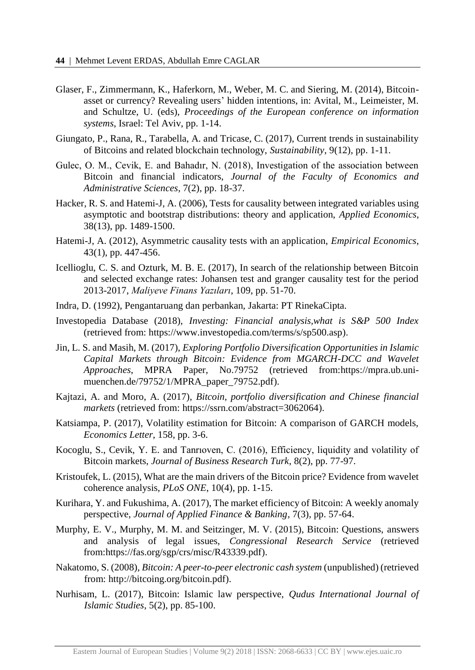- Glaser, F., Zimmermann, K., Haferkorn, M., Weber, M. C. and Siering, M. (2014), Bitcoinasset or currency? Revealing users' hidden intentions, in: Avital, M., Leimeister, M. and Schultze, U. (eds), *Proceedings of the European conference on information systems*, Israel: Tel Aviv, pp. 1-14.
- Giungato, P., Rana, R., Tarabella, A. and Tricase, C. (2017), Current trends in sustainability of Bitcoins and related blockchain technology, *Sustainability*, 9(12), pp. 1-11.
- Gulec, O. M., Cevik, E. and Bahadır, N. (2018), Investigation of the association between Bitcoin and financial indicators, *Journal of the Faculty of Economics and Administrative Sciences*, 7(2), pp. 18-37.
- Hacker, R. S. and Hatemi-J, A. (2006), Tests for causality between integrated variables using asymptotic and bootstrap distributions: theory and application, *Applied Economics*, 38(13), pp. 1489-1500.
- Hatemi-J, A. (2012), Asymmetric causality tests with an application, *Empirical Economics*, 43(1), pp. 447-456.
- Icellioglu, C. S. and Ozturk, M. B. E. (2017), In search of the relationship between Bitcoin and selected exchange rates: Johansen test and granger causality test for the period 2013-2017, *Maliyeve Finans Yazıları*, 109, pp. 51-70.
- Indra, D. (1992), Pengantaruang dan perbankan, Jakarta: PT RinekaCipta.
- Investopedia Database (2018), *Investing: Financial analysis,what is S&P 500 Index* (retrieved from: [https://www.investopedia.com/terms/s/sp500.asp\)](https://www.investopedia.com/terms/s/sp500.asp).
- Jin, L. S. and Masih, M. (2017), *Exploring Portfolio Diversification Opportunities in Islamic Capital Markets through Bitcoin: Evidence from MGARCH-DCC and Wavelet Approaches*, MPRA Paper, No.79752 (retrieved from[:https://mpra.ub.uni](https://mpra.ub.uni-muenchen.de/79752/1/MPRA_paper_79752.pdf)[muenchen.de/79752/1/MPRA\\_paper\\_79752.pdf\)](https://mpra.ub.uni-muenchen.de/79752/1/MPRA_paper_79752.pdf).
- Kajtazi, A. and Moro, A. (2017), *Bitcoin, portfolio diversification and Chinese financial markets* (retrieved from: [https://ssrn.com/abstract=3062064\)](https://ssrn.com/abstract=3062064).
- Katsiampa, P. (2017), Volatility estimation for Bitcoin: A comparison of GARCH models, *Economics Letter*, 158, pp. 3-6.
- Kocoglu, S., Cevik, Y. E. and Tanrıoven, C. (2016), Efficiency, liquidity and volatility of Bitcoin markets, *Journal of Business Research Turk*, 8(2), pp. 77-97.
- Kristoufek, L. (2015), What are the main drivers of the Bitcoin price? Evidence from wavelet coherence analysis, *PLoS ONE*, 10(4), pp. 1-15.
- Kurihara, Y. and Fukushima, A. (2017), The market efficiency of Bitcoin: A weekly anomaly perspective, *Journal of Applied Finance & Banking*, 7(3), pp. 57-64.
- Murphy, E. V., Murphy, M. M. and Seitzinger, M. V. (2015), Bitcoin: Questions, answers and analysis of legal issues, *Congressional Research Service* (retrieved from[:https://fas.org/sgp/crs/misc/R43339.pdf\)](https://fas.org/sgp/crs/misc/R43339.pdf).
- Nakatomo, S. (2008), *Bitcoin: A peer-to-peer electronic cash system* (unpublished) (retrieved from: [http://bitcoing.org/bitcoin.pdf\)](http://bitcoing.org/bitcoin.pdf).
- Nurhisam, L. (2017), Bitcoin: Islamic law perspective, *Qudus International Journal of Islamic Studies*, 5(2), pp. 85-100.